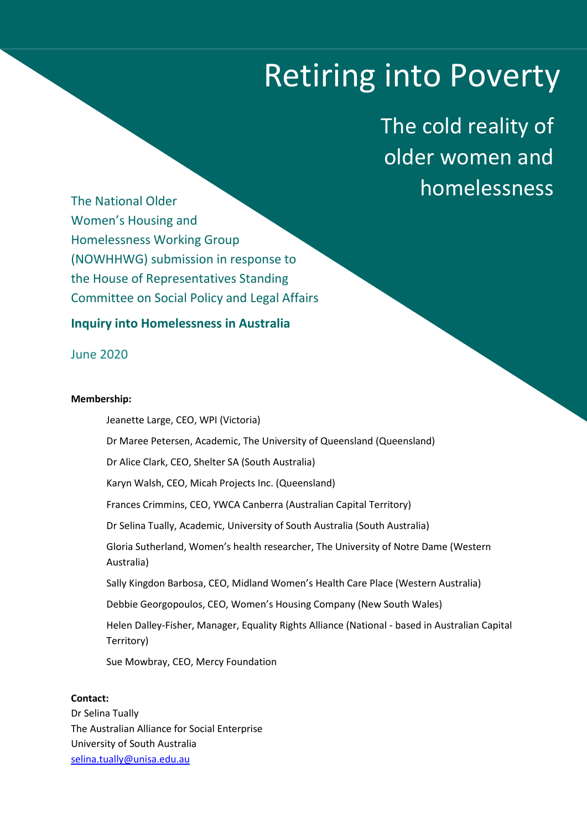# Retiring into Poverty

The cold reality of older women and homelessness

The National Older Women's Housing and Homelessness Working Group (NOWHHWG) submission in response to the House of Representatives Standing Committee on Social Policy and Legal Affairs

# **Inquiry into Homelessness in Australia**

June 2020

# **Membership:**

Jeanette Large, CEO, WPI (Victoria) Dr Maree Petersen, Academic, The University of Queensland (Queensland) Dr Alice Clark, CEO, Shelter SA (South Australia) Karyn Walsh, CEO, Micah Projects Inc. (Queensland) Frances Crimmins, CEO, YWCA Canberra (Australian Capital Territory) Dr Selina Tually, Academic, University of South Australia (South Australia) Gloria Sutherland, Women's health researcher, The University of Notre Dame (Western Australia) Sally Kingdon Barbosa, CEO, Midland Women's Health Care Place (Western Australia) Debbie Georgopoulos, CEO, Women's Housing Company (New South Wales) Helen Dalley-Fisher, Manager, Equality Rights Alliance (National - based in Australian Capital Territory) Sue Mowbray, CEO, Mercy Foundation

# **Contact:**

Dr Selina Tually The Australian Alliance for Social Enterprise University of South Australia [selina.tually@unisa.edu.au](mailto:selina.tually@unisa.edu.au)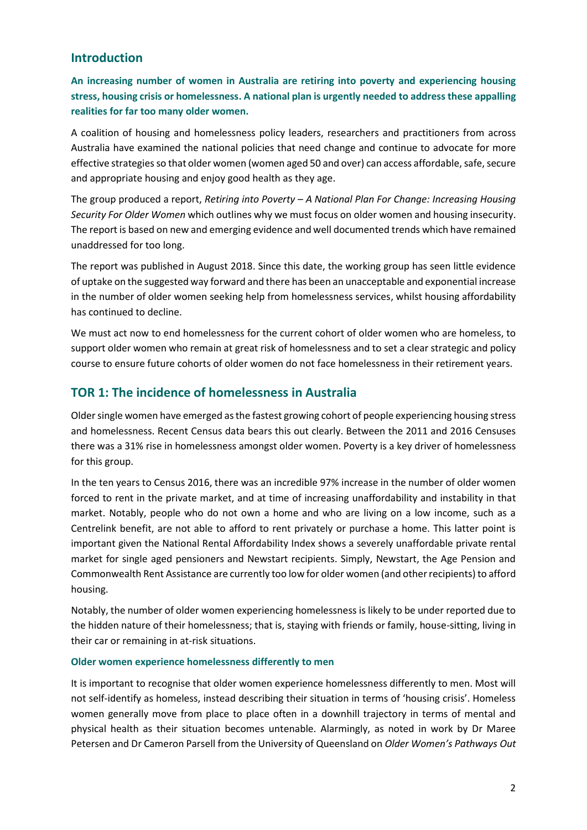# **Introduction**

**An increasing number of women in Australia are retiring into poverty and experiencing housing stress, housing crisis or homelessness. A national plan is urgently needed to address these appalling realities for far too many older women.** 

A coalition of housing and homelessness policy leaders, researchers and practitioners from across Australia have examined the national policies that need change and continue to advocate for more effective strategies so that older women (women aged 50 and over) can access affordable, safe, secure and appropriate housing and enjoy good health as they age.

The group produced a report, *Retiring into Poverty – A National Plan For Change: Increasing Housing Security For Older Women* which outlines why we must focus on older women and housing insecurity. The report is based on new and emerging evidence and well documented trends which have remained unaddressed for too long.

The report was published in August 2018. Since this date, the working group has seen little evidence of uptake on the suggested way forward and there has been an unacceptable and exponential increase in the number of older women seeking help from homelessness services, whilst housing affordability has continued to decline.

We must act now to end homelessness for the current cohort of older women who are homeless, to support older women who remain at great risk of homelessness and to set a clear strategic and policy course to ensure future cohorts of older women do not face homelessness in their retirement years.

# **TOR 1: The incidence of homelessness in Australia**

Older single women have emerged as the fastest growing cohort of people experiencing housing stress and homelessness. Recent Census data bears this out clearly. Between the 2011 and 2016 Censuses there was a 31% rise in homelessness amongst older women. Poverty is a key driver of homelessness for this group.

In the ten years to Census 2016, there was an incredible 97% increase in the number of older women forced to rent in the private market, and at time of increasing unaffordability and instability in that market. Notably, people who do not own a home and who are living on a low income, such as a Centrelink benefit, are not able to afford to rent privately or purchase a home. This latter point is important given the National Rental Affordability Index shows a severely unaffordable private rental market for single aged pensioners and Newstart recipients. Simply, Newstart, the Age Pension and Commonwealth Rent Assistance are currently too low for older women (and other recipients) to afford housing.

Notably, the number of older women experiencing homelessness is likely to be under reported due to the hidden nature of their homelessness; that is, staying with friends or family, house-sitting, living in their car or remaining in at-risk situations.

# **Older women experience homelessness differently to men**

It is important to recognise that older women experience homelessness differently to men. Most will not self-identify as homeless, instead describing their situation in terms of 'housing crisis'. Homeless women generally move from place to place often in a downhill trajectory in terms of mental and physical health as their situation becomes untenable. Alarmingly, as noted in work by Dr Maree Petersen and Dr Cameron Parsell from the University of Queensland on *Older Women's Pathways Out*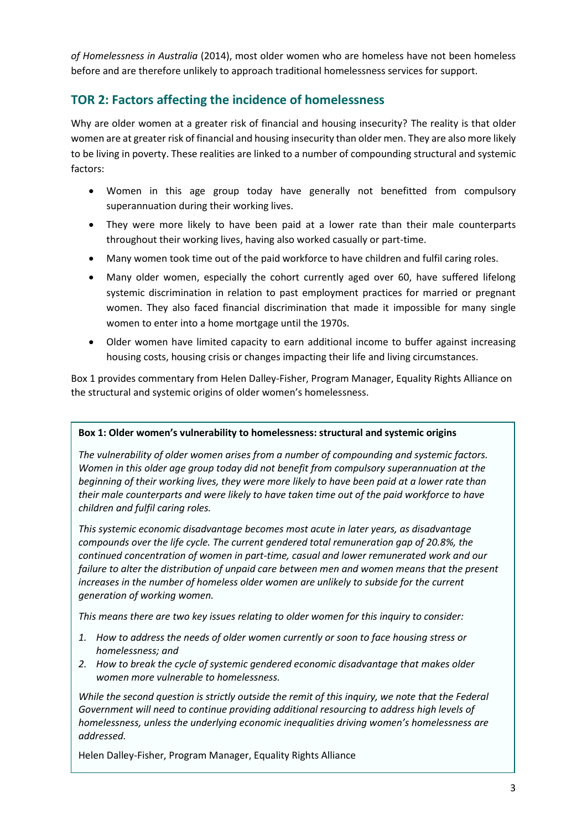*of Homelessness in Australia* (2014), most older women who are homeless have not been homeless before and are therefore unlikely to approach traditional homelessness services for support.

# **TOR 2: Factors affecting the incidence of homelessness**

Why are older women at a greater risk of financial and housing insecurity? The reality is that older women are at greater risk of financial and housing insecurity than older men. They are also more likely to be living in poverty. These realities are linked to a number of compounding structural and systemic factors:

- Women in this age group today have generally not benefitted from compulsory superannuation during their working lives.
- They were more likely to have been paid at a lower rate than their male counterparts throughout their working lives, having also worked casually or part-time.
- Many women took time out of the paid workforce to have children and fulfil caring roles.
- Many older women, especially the cohort currently aged over 60, have suffered lifelong systemic discrimination in relation to past employment practices for married or pregnant women. They also faced financial discrimination that made it impossible for many single women to enter into a home mortgage until the 1970s.
- Older women have limited capacity to earn additional income to buffer against increasing housing costs, housing crisis or changes impacting their life and living circumstances.

Box 1 provides commentary from Helen Dalley-Fisher, Program Manager, Equality Rights Alliance on the structural and systemic origins of older women's homelessness.

# **Box 1: Older women's vulnerability to homelessness: structural and systemic origins**

*The vulnerability of older women arises from a number of compounding and systemic factors. Women in this older age group today did not benefit from compulsory superannuation at the beginning of their working lives, they were more likely to have been paid at a lower rate than their male counterparts and were likely to have taken time out of the paid workforce to have children and fulfil caring roles.* 

*This systemic economic disadvantage becomes most acute in later years, as disadvantage compounds over the life cycle. The current gendered total remuneration gap of 20.8%, the continued concentration of women in part-time, casual and lower remunerated work and our failure to alter the distribution of unpaid care between men and women means that the present increases in the number of homeless older women are unlikely to subside for the current generation of working women.*

*This means there are two key issues relating to older women for this inquiry to consider:*

- *1. How to address the needs of older women currently or soon to face housing stress or homelessness; and*
- *2. How to break the cycle of systemic gendered economic disadvantage that makes older women more vulnerable to homelessness.*

*While the second question is strictly outside the remit of this inquiry, we note that the Federal Government will need to continue providing additional resourcing to address high levels of homelessness, unless the underlying economic inequalities driving women's homelessness are addressed.* 

Helen Dalley-Fisher, Program Manager, Equality Rights Alliance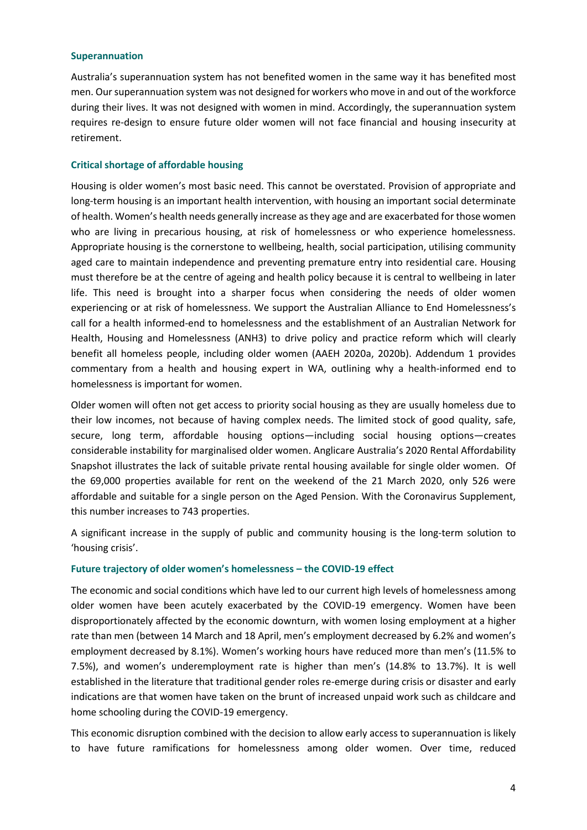#### **Superannuation**

Australia's superannuation system has not benefited women in the same way it has benefited most men. Our superannuation system was not designed for workers who move in and out of the workforce during their lives. It was not designed with women in mind. Accordingly, the superannuation system requires re-design to ensure future older women will not face financial and housing insecurity at retirement.

# **Critical shortage of affordable housing**

Housing is older women's most basic need. This cannot be overstated. Provision of appropriate and long-term housing is an important health intervention, with housing an important social determinate of health. Women's health needs generally increase as they age and are exacerbated for those women who are living in precarious housing, at risk of homelessness or who experience homelessness. Appropriate housing is the cornerstone to wellbeing, health, social participation, utilising community aged care to maintain independence and preventing premature entry into residential care. Housing must therefore be at the centre of ageing and health policy because it is central to wellbeing in later life. This need is brought into a sharper focus when considering the needs of older women experiencing or at risk of homelessness. We support the Australian Alliance to End Homelessness's call for a health informed-end to homelessness and the establishment of an Australian Network for Health, Housing and Homelessness (ANH3) to drive policy and practice reform which will clearly benefit all homeless people, including older women (AAEH 2020a, 2020b). Addendum 1 provides commentary from a health and housing expert in WA, outlining why a health-informed end to homelessness is important for women.

Older women will often not get access to priority social housing as they are usually homeless due to their low incomes, not because of having complex needs. The limited stock of good quality, safe, secure, long term, affordable housing options—including social housing options—creates considerable instability for marginalised older women. Anglicare Australia's 2020 Rental Affordability Snapshot illustrates the lack of suitable private rental housing available for single older women. Of the 69,000 properties available for rent on the weekend of the 21 March 2020, only 526 were affordable and suitable for a single person on the Aged Pension. With the Coronavirus Supplement, this number increases to 743 properties.

A significant increase in the supply of public and community housing is the long-term solution to 'housing crisis'.

# **Future trajectory of older women's homelessness – the COVID-19 effect**

The economic and social conditions which have led to our current high levels of homelessness among older women have been acutely exacerbated by the COVID-19 emergency. Women have been disproportionately affected by the economic downturn, with women losing employment at a higher rate than men (between 14 March and 18 April, men's employment decreased by 6.2% and women's employment decreased by 8.1%). Women's working hours have reduced more than men's (11.5% to 7.5%), and women's underemployment rate is higher than men's (14.8% to 13.7%). It is well established in the literature that traditional gender roles re-emerge during crisis or disaster and early indications are that women have taken on the brunt of increased unpaid work such as childcare and home schooling during the COVID-19 emergency.

This economic disruption combined with the decision to allow early access to superannuation is likely to have future ramifications for homelessness among older women. Over time, reduced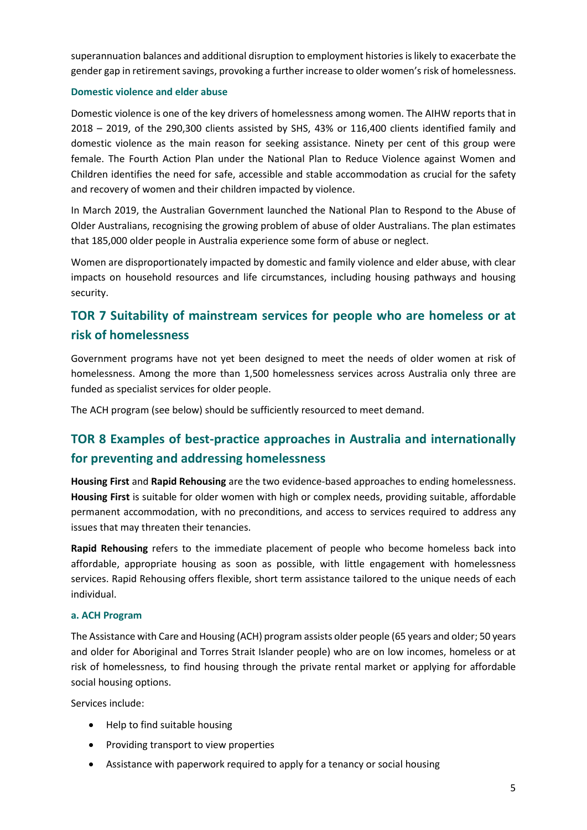superannuation balances and additional disruption to employment histories is likely to exacerbate the gender gap in retirement savings, provoking a further increase to older women's risk of homelessness.

# **Domestic violence and elder abuse**

Domestic violence is one of the key drivers of homelessness among women. The AIHW reports that in 2018 – 2019, of the 290,300 clients assisted by SHS, 43% or 116,400 clients identified family and domestic violence as the main reason for seeking assistance. Ninety per cent of this group were female. The Fourth Action Plan under the National Plan to Reduce Violence against Women and Children identifies the need for safe, accessible and stable accommodation as crucial for the safety and recovery of women and their children impacted by violence.

In March 2019, the Australian Government launched the National Plan to Respond to the Abuse of Older Australians, recognising the growing problem of abuse of older Australians. The plan estimates that 185,000 older people in Australia experience some form of abuse or neglect.

Women are disproportionately impacted by domestic and family violence and elder abuse, with clear impacts on household resources and life circumstances, including housing pathways and housing security.

# **TOR 7 Suitability of mainstream services for people who are homeless or at risk of homelessness**

Government programs have not yet been designed to meet the needs of older women at risk of homelessness. Among the more than 1,500 homelessness services across Australia only three are funded as specialist services for older people.

The ACH program (see below) should be sufficiently resourced to meet demand.

# **TOR 8 Examples of best-practice approaches in Australia and internationally for preventing and addressing homelessness**

**Housing First** and **Rapid Rehousing** are the two evidence-based approaches to ending homelessness. **Housing First** is suitable for older women with high or complex needs, providing suitable, affordable permanent accommodation, with no preconditions, and access to services required to address any issues that may threaten their tenancies.

**Rapid Rehousing** refers to the immediate placement of people who become homeless back into affordable, appropriate housing as soon as possible, with little engagement with homelessness services. Rapid Rehousing offers flexible, short term assistance tailored to the unique needs of each individual.

# **a. ACH Program**

The Assistance with Care and Housing (ACH) program assists older people (65 years and older; 50 years and older for Aboriginal and Torres Strait Islander people) who are on low incomes, homeless or at risk of homelessness, to find housing through the private rental market or applying for affordable social housing options.

Services include:

- Help to find suitable housing
- Providing transport to view properties
- Assistance with paperwork required to apply for a tenancy or social housing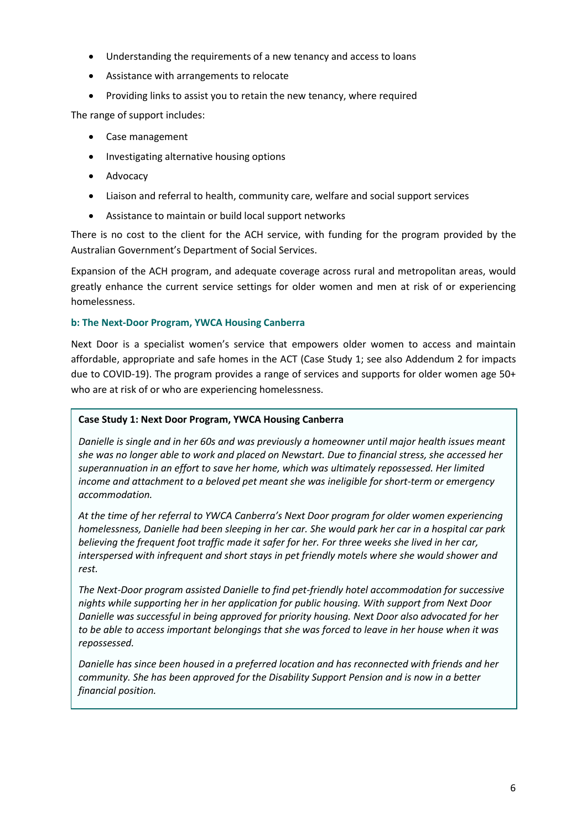- Understanding the requirements of a new tenancy and access to loans
- Assistance with arrangements to relocate
- Providing links to assist you to retain the new tenancy, where required

The range of support includes:

- Case management
- Investigating alternative housing options
- Advocacy
- Liaison and referral to health, community care, welfare and social support services
- Assistance to maintain or build local support networks

There is no cost to the client for the ACH service, with funding for the program provided by the Australian Government's Department of Social Services.

Expansion of the ACH program, and adequate coverage across rural and metropolitan areas, would greatly enhance the current service settings for older women and men at risk of or experiencing homelessness.

# **b: The Next-Door Program, YWCA Housing Canberra**

Next Door is a specialist women's service that empowers older women to access and maintain affordable, appropriate and safe homes in the ACT (Case Study 1; see also Addendum 2 for impacts due to COVID-19). The program provides a range of services and supports for older women age 50+ who are at risk of or who are experiencing homelessness.

# **Case Study 1: Next Door Program, YWCA Housing Canberra**

*Danielle is single and in her 60s and was previously a homeowner until major health issues meant she was no longer able to work and placed on Newstart. Due to financial stress, she accessed her superannuation in an effort to save her home, which was ultimately repossessed. Her limited income and attachment to a beloved pet meant she was ineligible for short-term or emergency accommodation.*

*At the time of her referral to YWCA Canberra's Next Door program for older women experiencing homelessness, Danielle had been sleeping in her car. She would park her car in a hospital car park believing the frequent foot traffic made it safer for her. For three weeks she lived in her car, interspersed with infrequent and short stays in pet friendly motels where she would shower and rest.*

*The Next-Door program assisted Danielle to find pet-friendly hotel accommodation for successive nights while supporting her in her application for public housing. With support from Next Door Danielle was successful in being approved for priority housing. Next Door also advocated for her to be able to access important belongings that she was forced to leave in her house when it was repossessed.* 

*Danielle has since been housed in a preferred location and has reconnected with friends and her community. She has been approved for the Disability Support Pension and is now in a better financial position.*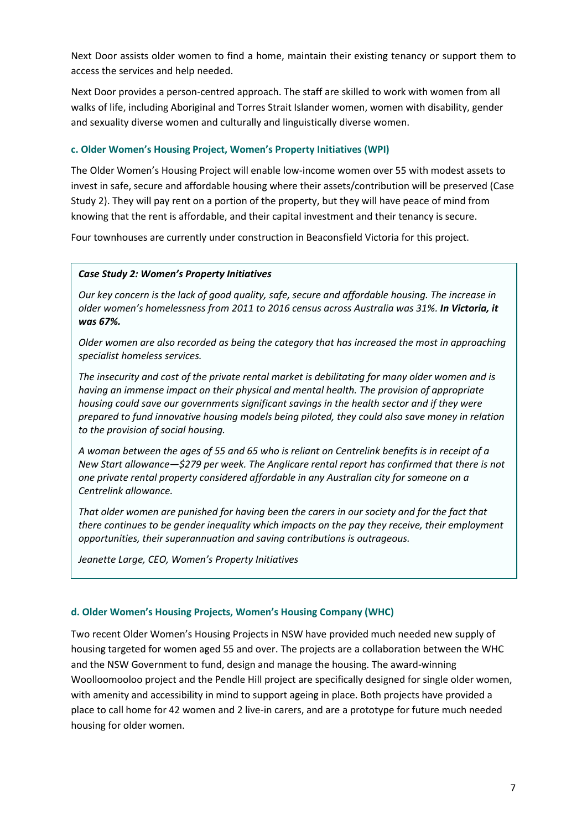Next Door assists older women to find a home, maintain their existing tenancy or support them to access the services and help needed.

Next Door provides a person-centred approach. The staff are skilled to work with women from all walks of life, including Aboriginal and Torres Strait Islander women, women with disability, gender and sexuality diverse women and culturally and linguistically diverse women.

# **c. Older Women's Housing Project, Women's Property Initiatives (WPI)**

The Older Women's Housing Project will enable low-income women over 55 with modest assets to invest in safe, secure and affordable housing where their assets/contribution will be preserved (Case Study 2). They will pay rent on a portion of the property, but they will have peace of mind from knowing that the rent is affordable, and their capital investment and their tenancy is secure.

Four townhouses are currently under construction in Beaconsfield Victoria for this project.

# *Case Study 2: Women's Property Initiatives*

*Our key concern is the lack of good quality, safe, secure and affordable housing. The increase in older women's homelessness from 2011 to 2016 census across Australia was 31%. In Victoria, it was 67%.* 

*Older women are also recorded as being the category that has increased the most in approaching specialist homeless services.*

*The insecurity and cost of the private rental market is debilitating for many older women and is having an immense impact on their physical and mental health. The provision of appropriate housing could save our governments significant savings in the health sector and if they were prepared to fund innovative housing models being piloted, they could also save money in relation to the provision of social housing.*

*A woman between the ages of 55 and 65 who is reliant on Centrelink benefits is in receipt of a New Start allowance—\$279 per week. The Anglicare rental report has confirmed that there is not one private rental property considered affordable in any Australian city for someone on a Centrelink allowance.*

*That older women are punished for having been the carers in our society and for the fact that there continues to be gender inequality which impacts on the pay they receive, their employment opportunities, their superannuation and saving contributions is outrageous.*

*Jeanette Large, CEO, Women's Property Initiatives*

# **d. Older Women's Housing Projects, Women's Housing Company (WHC)**

Two recent Older Women's Housing Projects in NSW have provided much needed new supply of housing targeted for women aged 55 and over. The projects are a collaboration between the WHC and the NSW Government to fund, design and manage the housing. The award-winning Woolloomooloo project and the Pendle Hill project are specifically designed for single older women, with amenity and accessibility in mind to support ageing in place. Both projects have provided a place to call home for 42 women and 2 live-in carers, and are a prototype for future much needed housing for older women.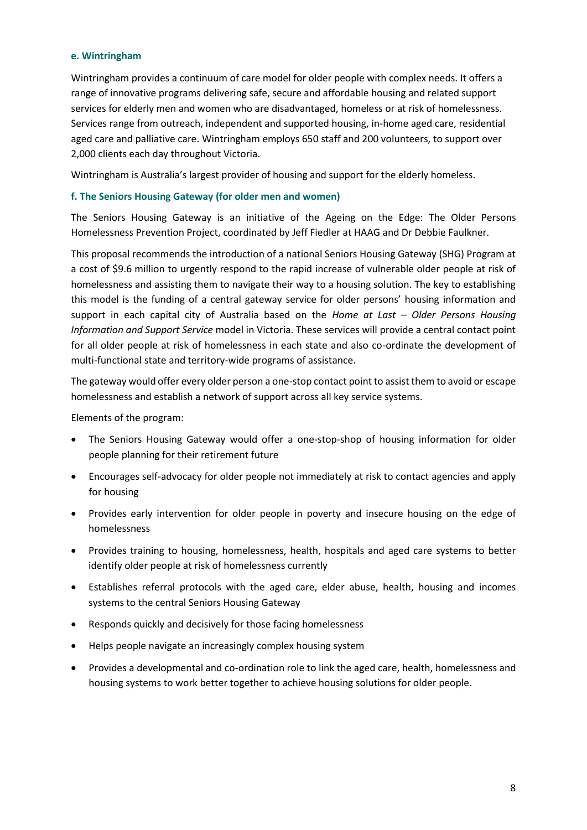#### **e. Wintringham**

Wintringham provides a continuum of care model for older people with complex needs. It offers a range of innovative programs delivering safe, secure and affordable housing and related support services for elderly men and women who are disadvantaged, homeless or at risk of homelessness. Services range from outreach, independent and supported housing, in-home aged care, residential aged care and palliative care. Wintringham employs 650 staff and 200 volunteers, to support over 2,000 clients each day throughout Victoria.

Wintringham is Australia's largest provider of housing and support for the elderly homeless.

# **f. The Seniors Housing Gateway (for older men and women)**

The Seniors Housing Gateway is an initiative of the Ageing on the Edge: The Older Persons Homelessness Prevention Project, coordinated by Jeff Fiedler at HAAG and Dr Debbie Faulkner.

This proposal recommends the introduction of a national Seniors Housing Gateway (SHG) Program at a cost of \$9.6 million to urgently respond to the rapid increase of vulnerable older people at risk of homelessness and assisting them to navigate their way to a housing solution. The key to establishing this model is the funding of a central gateway service for older persons' housing information and support in each capital city of Australia based on the *Home at Last – Older Persons Housing Information and Support Service* model in Victoria. These services will provide a central contact point for all older people at risk of homelessness in each state and also co-ordinate the development of multi-functional state and territory-wide programs of assistance.

The gateway would offer every older person a one-stop contact point to assist them to avoid or escape homelessness and establish a network of support across all key service systems.

Elements of the program:

- The Seniors Housing Gateway would offer a one-stop-shop of housing information for older people planning for their retirement future
- Encourages self-advocacy for older people not immediately at risk to contact agencies and apply for housing
- Provides early intervention for older people in poverty and insecure housing on the edge of homelessness
- Provides training to housing, homelessness, health, hospitals and aged care systems to better identify older people at risk of homelessness currently
- Establishes referral protocols with the aged care, elder abuse, health, housing and incomes systems to the central Seniors Housing Gateway
- Responds quickly and decisively for those facing homelessness
- Helps people navigate an increasingly complex housing system
- Provides a developmental and co-ordination role to link the aged care, health, homelessness and housing systems to work better together to achieve housing solutions for older people.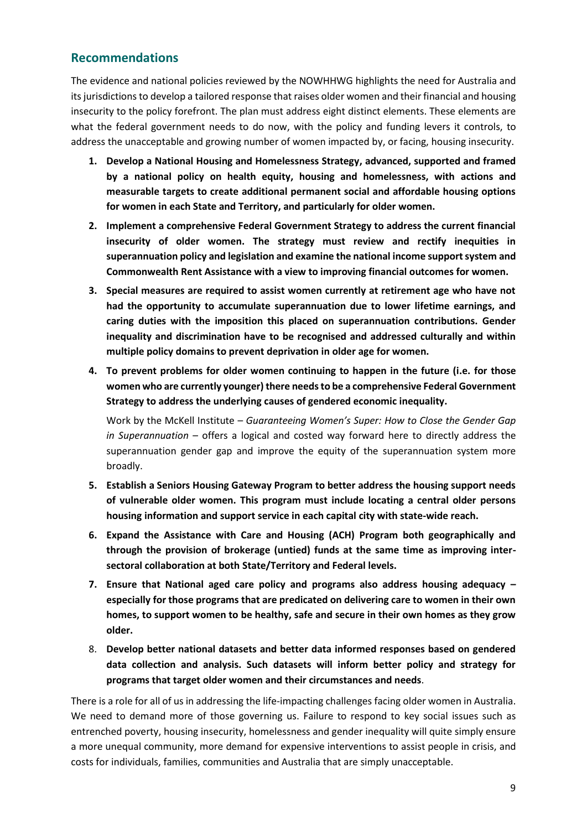# **Recommendations**

The evidence and national policies reviewed by the NOWHHWG highlights the need for Australia and its jurisdictions to develop a tailored response that raises older women and their financial and housing insecurity to the policy forefront. The plan must address eight distinct elements. These elements are what the federal government needs to do now, with the policy and funding levers it controls, to address the unacceptable and growing number of women impacted by, or facing, housing insecurity.

- **1. Develop a National Housing and Homelessness Strategy, advanced, supported and framed by a national policy on health equity, housing and homelessness, with actions and measurable targets to create additional permanent social and affordable housing options for women in each State and Territory, and particularly for older women.**
- **2. Implement a comprehensive Federal Government Strategy to address the current financial insecurity of older women. The strategy must review and rectify inequities in superannuation policy and legislation and examine the national income support system and Commonwealth Rent Assistance with a view to improving financial outcomes for women.**
- **3. Special measures are required to assist women currently at retirement age who have not had the opportunity to accumulate superannuation due to lower lifetime earnings, and caring duties with the imposition this placed on superannuation contributions. Gender inequality and discrimination have to be recognised and addressed culturally and within multiple policy domains to prevent deprivation in older age for women.**
- **4. To prevent problems for older women continuing to happen in the future (i.e. for those women who are currently younger) there needs to be a comprehensive Federal Government Strategy to address the underlying causes of gendered economic inequality.**

Work by the McKell Institute – *Guaranteeing Women's Super: How to Close the Gender Gap in Superannuation* – offers a logical and costed way forward here to directly address the superannuation gender gap and improve the equity of the superannuation system more broadly.

- **5. Establish a Seniors Housing Gateway Program to better address the housing support needs of vulnerable older women. This program must include locating a central older persons housing information and support service in each capital city with state-wide reach.**
- **6. Expand the Assistance with Care and Housing (ACH) Program both geographically and through the provision of brokerage (untied) funds at the same time as improving intersectoral collaboration at both State/Territory and Federal levels.**
- **7. Ensure that National aged care policy and programs also address housing adequacy – especially for those programs that are predicated on delivering care to women in their own homes, to support women to be healthy, safe and secure in their own homes as they grow older.**
- 8. **Develop better national datasets and better data informed responses based on gendered data collection and analysis. Such datasets will inform better policy and strategy for programs that target older women and their circumstances and needs**.

There is a role for all of us in addressing the life-impacting challenges facing older women in Australia. We need to demand more of those governing us. Failure to respond to key social issues such as entrenched poverty, housing insecurity, homelessness and gender inequality will quite simply ensure a more unequal community, more demand for expensive interventions to assist people in crisis, and costs for individuals, families, communities and Australia that are simply unacceptable.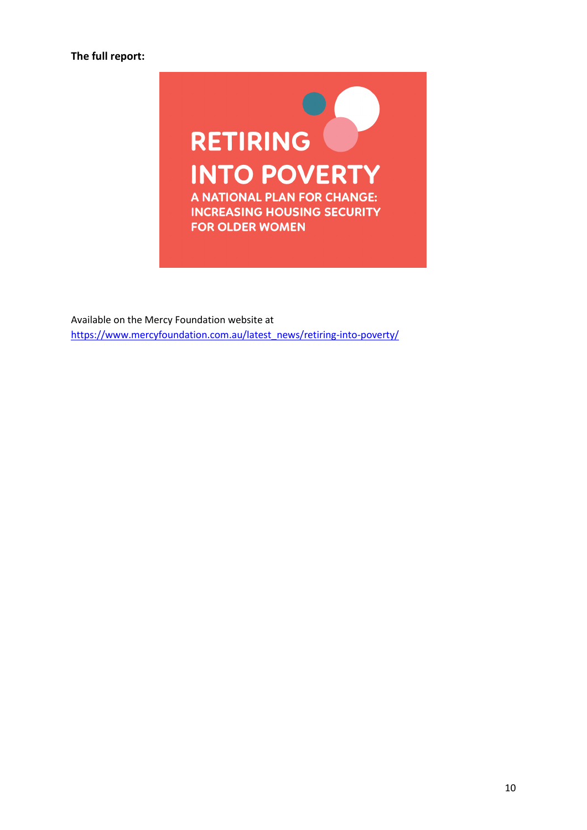

Available on the Mercy Foundation website at [https://www.mercyfoundation.com.au/latest\\_news/retiring-into-poverty/](https://www.mercyfoundation.com.au/latest_news/retiring-into-poverty/)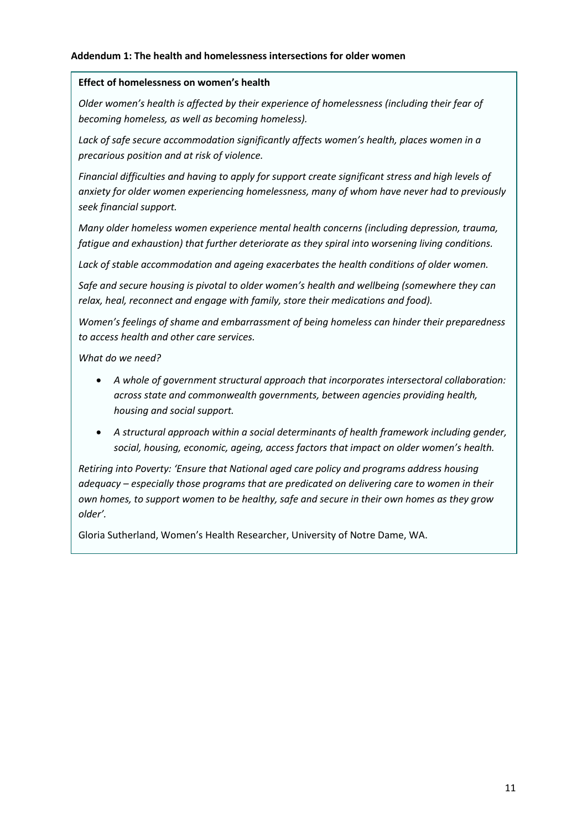# **Addendum 1: The health and homelessness intersections for older women**

# **Effect of homelessness on women's health**

*Older women's health is affected by their experience of homelessness (including their fear of becoming homeless, as well as becoming homeless).* 

*Lack of safe secure accommodation significantly affects women's health, places women in a precarious position and at risk of violence.* 

*Financial difficulties and having to apply for support create significant stress and high levels of anxiety for older women experiencing homelessness, many of whom have never had to previously seek financial support.* 

*Many older homeless women experience mental health concerns (including depression, trauma, fatigue and exhaustion) that further deteriorate as they spiral into worsening living conditions.* 

*Lack of stable accommodation and ageing exacerbates the health conditions of older women.* 

*Safe and secure housing is pivotal to older women's health and wellbeing (somewhere they can relax, heal, reconnect and engage with family, store their medications and food).* 

*Women's feelings of shame and embarrassment of being homeless can hinder their preparedness to access health and other care services.* 

*What do we need?*

- *A whole of government structural approach that incorporates intersectoral collaboration: across state and commonwealth governments, between agencies providing health, housing and social support.*
- *A structural approach within a social determinants of health framework including gender, social, housing, economic, ageing, access factors that impact on older women's health.*

*Retiring into Poverty: 'Ensure that National aged care policy and programs address housing adequacy – especially those programs that are predicated on delivering care to women in their own homes, to support women to be healthy, safe and secure in their own homes as they grow older'.* 

Gloria Sutherland, Women's Health Researcher, University of Notre Dame, WA.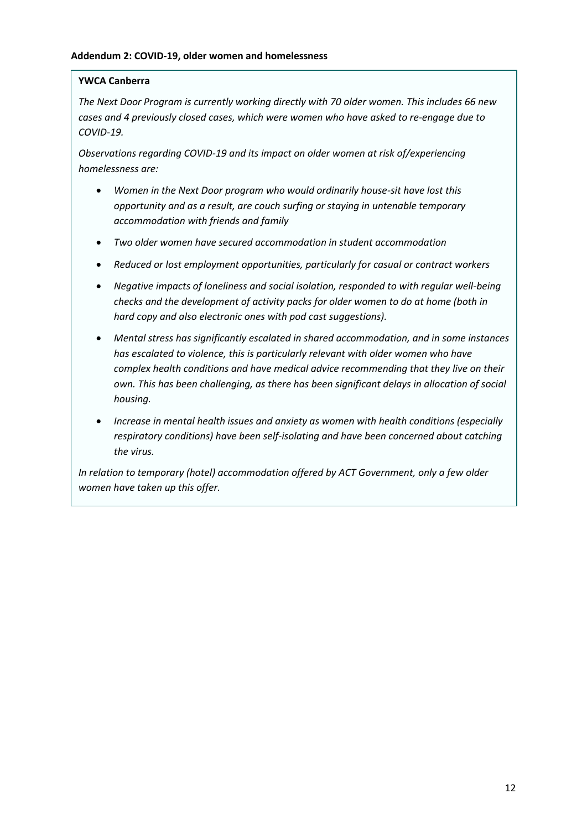# **YWCA Canberra**

*The Next Door Program is currently working directly with 70 older women. This includes 66 new cases and 4 previously closed cases, which were women who have asked to re-engage due to COVID-19.*

*Observations regarding COVID-19 and its impact on older women at risk of/experiencing homelessness are:*

- *Women in the Next Door program who would ordinarily house-sit have lost this opportunity and as a result, are couch surfing or staying in untenable temporary accommodation with friends and family*
- *Two older women have secured accommodation in student accommodation*
- *Reduced or lost employment opportunities, particularly for casual or contract workers*
- *Negative impacts of loneliness and social isolation, responded to with regular well-being checks and the development of activity packs for older women to do at home (both in hard copy and also electronic ones with pod cast suggestions).*
- *Mental stress has significantly escalated in shared accommodation, and in some instances has escalated to violence, this is particularly relevant with older women who have complex health conditions and have medical advice recommending that they live on their own. This has been challenging, as there has been significant delays in allocation of social housing.*
- *Increase in mental health issues and anxiety as women with health conditions (especially respiratory conditions) have been self-isolating and have been concerned about catching the virus.*

*In relation to temporary (hotel) accommodation offered by ACT Government, only a few older women have taken up this offer.*